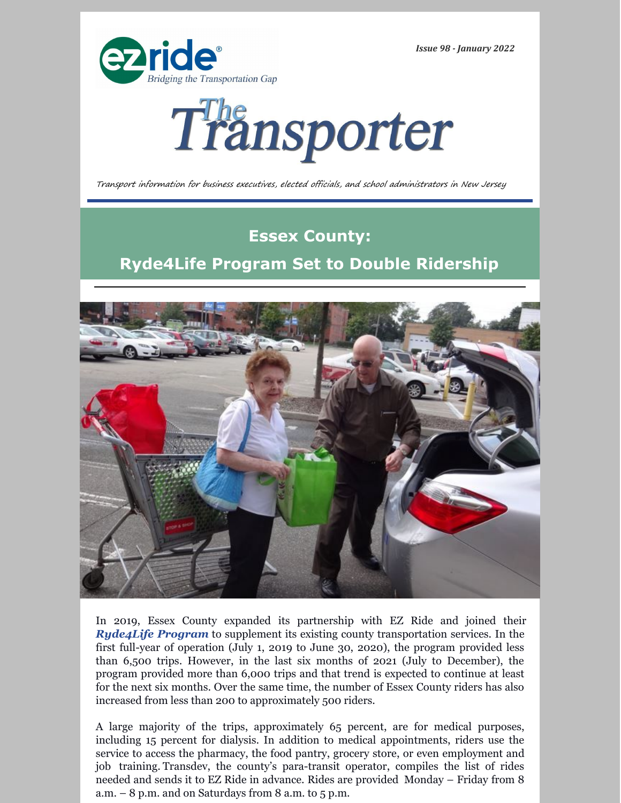

*Issue 98 - January 2022*



Transport information for business executives, elected officials, and school administrators in New Jersey

## **Essex County: Ryde4Life Program Set to Double Ridership**



In 2019, Essex County expanded its partnership with EZ Ride and joined their *[Ryde4Life Program](https://ezride.org/transportation/senior-transportation/)* to supplement its existing county transportation services. In the first full-year of operation (July 1, 2019 to June 30, 2020), the program provided less than 6,500 trips. However, in the last six months of 2021 (July to December), the program provided more than 6,000 trips and that trend is expected to continue at least for the next six months. Over the same time, the number of Essex County riders has also increased from less than 200 to approximately 500 riders.

A large majority of the trips, approximately 65 percent, are for medical purposes, including 15 percent for dialysis. In addition to medical appointments, riders use the service to access the pharmacy, the food pantry, grocery store, or even employment and job training. Transdev, the county's para-transit operator, compiles the list of rides needed and sends it to EZ Ride in advance. Rides are provided Monday – Friday from 8 a.m.  $-8$  p.m. and on Saturdays from 8 a.m. to 5 p.m.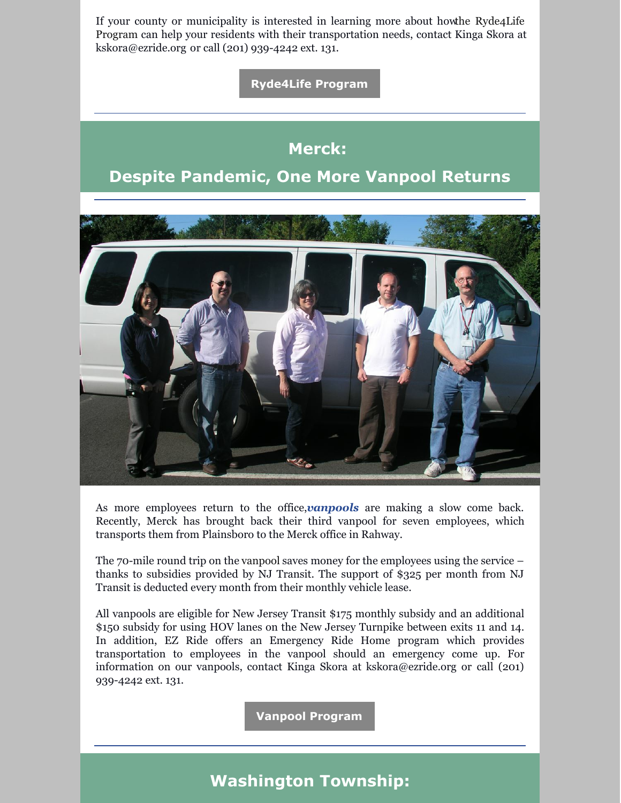If your county or municipality is interested in learning more about howthe Ryde4Life Program can help your residents with their [transportation](https://ezride.org/transportation/senior-transportation/) needs, contact Kinga Skora at [kskora@ezride.org](mailto:kskora@ezride.org) or call (201) 939-4242 ext. 131.

**[Ryde4Life](https://ezride.org/transportation/senior-transportation/) Program**

#### **Merck:**

### **Despite Pandemic, One More Vanpool Returns**



As more employees return to the office,*[vanpools](https://ezride.org/transportation/vanpools/)* are making a slow come back. Recently, Merck has brought back their third vanpool for seven employees, which transports them from Plainsboro to the Merck office in Rahway.

The 70-mile round trip on the vanpool saves money for the employees using the service – thanks to subsidies provided by NJ Transit. The support of \$325 per month from NJ Transit is deducted every month from their monthly vehicle lease.

All vanpools are eligible for New Jersey Transit \$175 monthly subsidy and an additional \$150 subsidy for using HOV lanes on the New Jersey Turnpike between exits 11 and 14. In addition, EZ Ride offers an Emergency Ride Home program which provides transportation to employees in the vanpool should an emergency come up. For information on our vanpools, contact Kinga Skora a[t](mailto:kskora@ezride.org) [kskora@ezride.org](mailto:kskora@ezride.org) or call (201) 939-4242 ext. 131.

**Vanpool [Program](https://ezride.org/transportation/vanpools/)**

### **Washington Township:**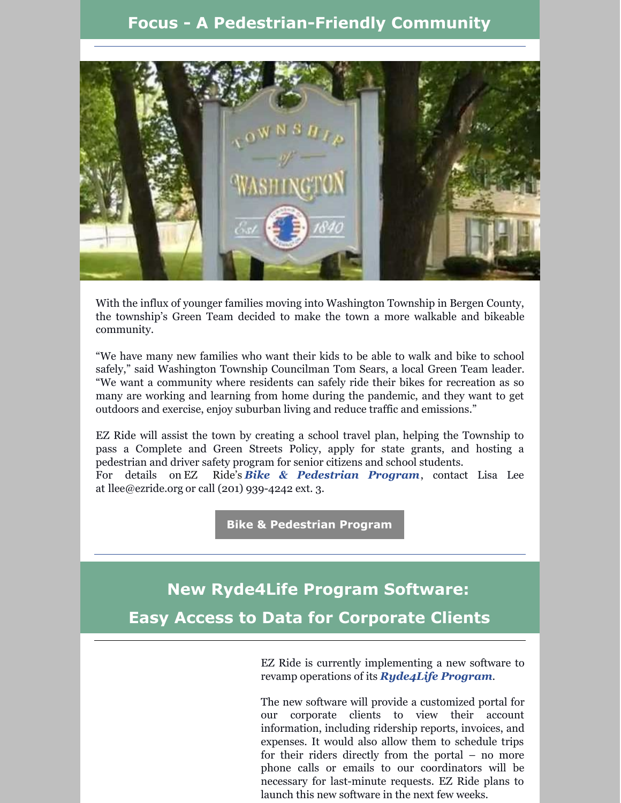#### **Focus - A Pedestrian-Friendly Community**



With the influx of younger families moving into Washington Township in Bergen County, the township's Green Team decided to make the town a more walkable and bikeable community.

"We have many new families who want their kids to be able to walk and bike to school safely," said Washington Township Councilman Tom Sears, a local Green Team leader. "We want a community where residents can safely ride their bikes for recreation as so many are working and learning from home during the pandemic, and they want to get outdoors and exercise, enjoy suburban living and reduce traffic and emissions."

EZ Ride will assist the town by creating a school travel plan, helping the Township to pass a Complete and Green Streets Policy, apply for state grants, and hosting a pedestrian and driver safety program for senior citizens and school students. For details on EZ [Ride's](https://ezride.org/transportation/bikepedestrian-program/) *Bike & [Pedestrian](https://ezride.org/transportation/bikepedestrian-program/) Program*, contact Lisa Lee at [llee@ezride.org](mailto:llee@ezride.org) or call (201) 939-4242 ext. 3.

**Bike & [Pedestrian](https://ezride.org/transportation/bikepedestrian-program/) Program**

## **New Ryde4Life Program Software: Easy Access to Data for Corporate Clients**

EZ Ride is currently implementing a new software to revamp operations of its *[Ryde4Life](https://ezride.org/transportation/senior-transportation/) Program*.

The new software will provide a customized portal for our corporate clients to view their account information, including ridership reports, invoices, and expenses. It would also allow them to schedule trips for their riders directly from the portal – no more phone calls or emails to our coordinators will be necessary for last-minute requests. EZ Ride plans to launch this new software in the next few weeks.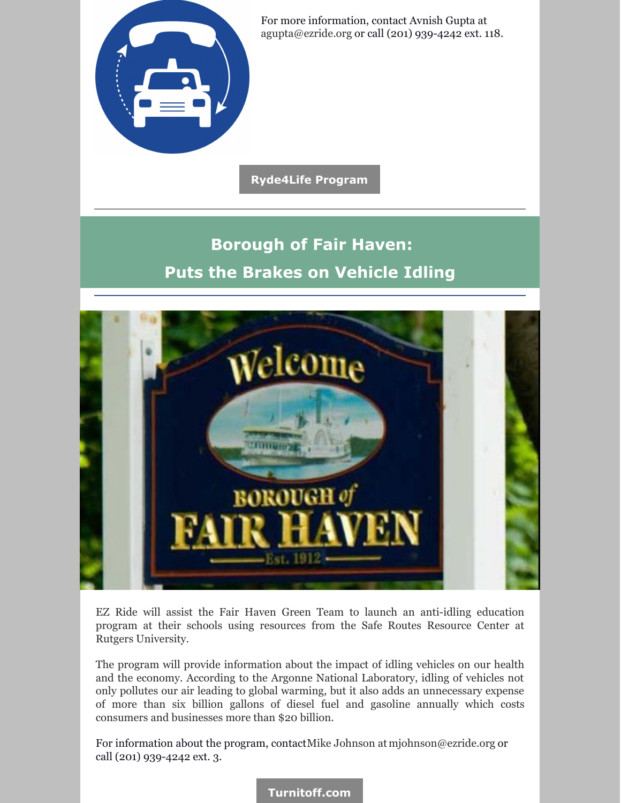

For more information, contact Avnish Gupta at [agupta@ezride.org](mailto:agupta@ezride.org) or call (201) 939-4242 ext. 118.

**[Ryde4Life](https://ezride.org/transportation/senior-transportation/) Program**

# **Borough of Fair Haven: Puts the Brakes on Vehicle Idling**



EZ Ride will assist the Fair Haven Green Team to launch an anti-idling education program at their schools using resources from the Safe Routes Resource Center at Rutgers University.

The program will provide information about the impact of idling vehicles on our health and the economy. According to the Argonne National Laboratory, idling of vehicles not only pollutes our air leading to global warming, but it also adds an unnecessary expense of more than six billion gallons of diesel fuel and gasoline annually which costs consumers and businesses more than \$20 billion.

For information about the program, contactMike Johnson at [mjohnson@ezride.org](mailto:mjohnson@ezride.org) or call (201) 939-4242 ext. 3.

**[Turnitoff.com](https://www.iturnitoff.com/#/savings)**